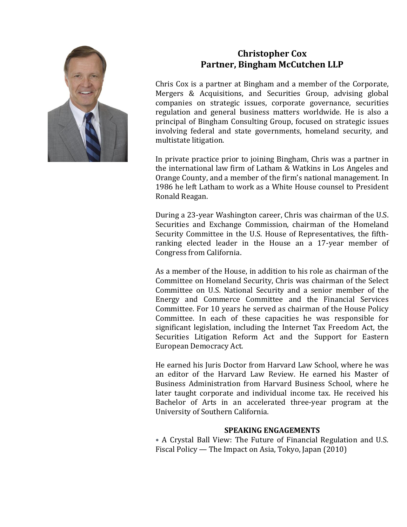

# **Christopher Cox Partner, Bingham McCutchen LLP**

Chris Cox is a partner at Bingham and a member of the Corporate, Mergers & Acquisitions, and Securities Group, advising global companies on strategic issues, corporate governance, securities regulation and general business matters worldwide. He is also a principal of Bingham Consulting Group, focused on strategic issues involving federal and state governments, homeland security, and multistate litigation.

In private practice prior to joining Bingham, Chris was a partner in the international law firm of Latham & Watkins in Los Angeles and Orange County, and a member of the firm's national management. In 1986 he left Latham to work as a White House counsel to President Ronald Reagan.

During a 23-year Washington career, Chris was chairman of the U.S. Securities and Exchange Commission, chairman of the Homeland Security Committee in the U.S. House of Representatives, the fifthranking elected leader in the House an a 17-year member of Congress from California.

As a member of the House, in addition to his role as chairman of the Committee on Homeland Security, Chris was chairman of the Select Committee on U.S. National Security and a senior member of the Energy and Commerce Committee and the Financial Services Committee. For 10 years he served as chairman of the House Policy Committee. In each of these capacities he was responsible for significant legislation, including the Internet Tax Freedom Act, the Securities Litigation Reform Act and the Support for Eastern European Democracy Act.

He earned his Juris Doctor from Harvard Law School, where he was an editor of the Harvard Law Review. He earned his Master of Business Administration from Harvard Business School, where he later taught corporate and individual income tax. He received his Bachelor of Arts in an accelerated three-year program at the University of Southern California.

## **SPEAKING ENGAGEMENTS**

• A Crystal Ball View: The Future of Financial Regulation and U.S. Fiscal Policy — The Impact on Asia, Tokyo, Japan (2010)